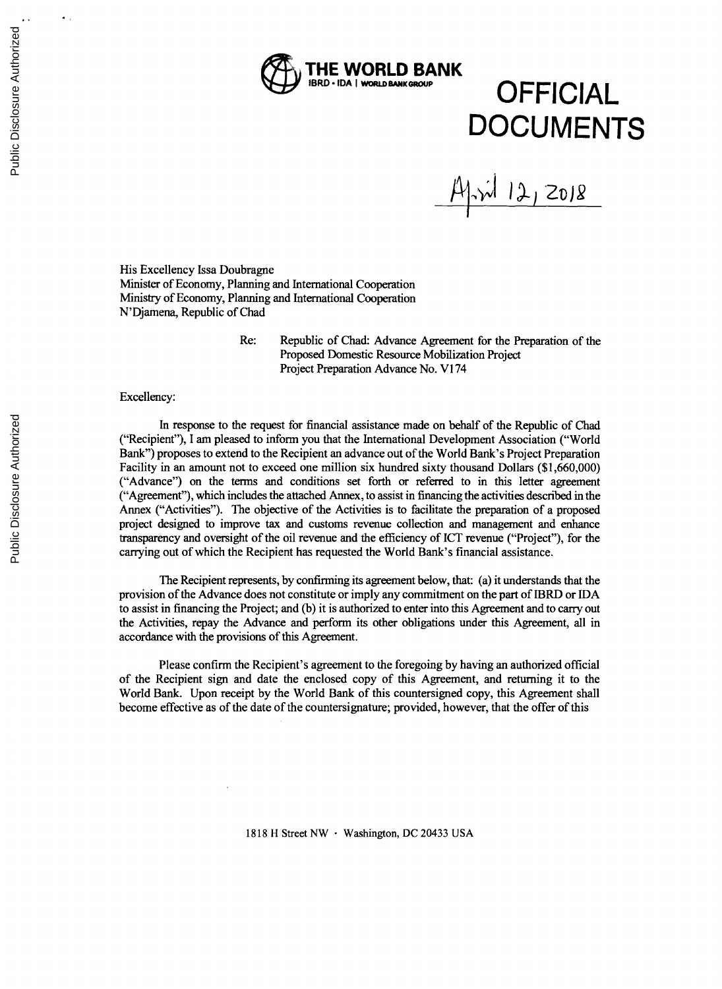

# $OFFICIAL$ **DOCUMENTS**

April 12, 2018

His Excellency Issa Doubragne Minister of Economy, Planning and International Cooperation Ministry of Economy, Planning and International Cooperation N'Djamena, Republic of Chad

> Re: Republic of Chad: Advance Agreement for the Preparation of the Proposed Domestic Resource Mobilization Project Project Preparation Advance No. VI 74

#### Excellency:

In response to the request for financial assistance made on behalf of the Republic of Chad<br>("Recipient"), I am pleased to inform you that the International Development Association ("World") Bank") proposes to extend to the Recipient an advance out of the World Bank's Project Preparation Facility in an amount not to exceed one million six hundred sixty thousand Dollars **(\$1,660,000)** ("Advance") on the terms and conditions set forth or referred to in this letter agreement ("Agreement"), which includes the attached Annex, to assist in financing the activities described in the Annex ("Activities"). The objective of the Activities is to facilitate the preparation of a proposed project designed to improve tax and customs revenue collection and management and enhance transparency and oversight of the oil revenue and the efficiency of **ICT** revenue ("Project"), for the carrying out of which the Recipient has requested the World Bank's financial assistance.

The Recipient represents, **by** confirming its agreement below, that: (a) it understands that the provision of the Advance does not constitute or imply any commitment on the part of IBRD or **IDA** to assist in financing the Project; and **(b)** it is authorized to enter into this Agreement and to carry out the Activities, repay the Advance and perform its other obligations under this Agreement, all in accordance with the provisions of this Agreement.

Please confirm the Recipient's agreement to the foregoing **by** having an authorized official of the Recipient sign and date the enclosed copy of this Agreement, and returning it to the World Bank. Upon receipt **by** the World Bank of this countersigned copy, this Agreement shall become effective as of the date of the countersignature; provided, however, that the offer of this

**1818** H Street NW **-** Washington, **DC** 20433 **USA**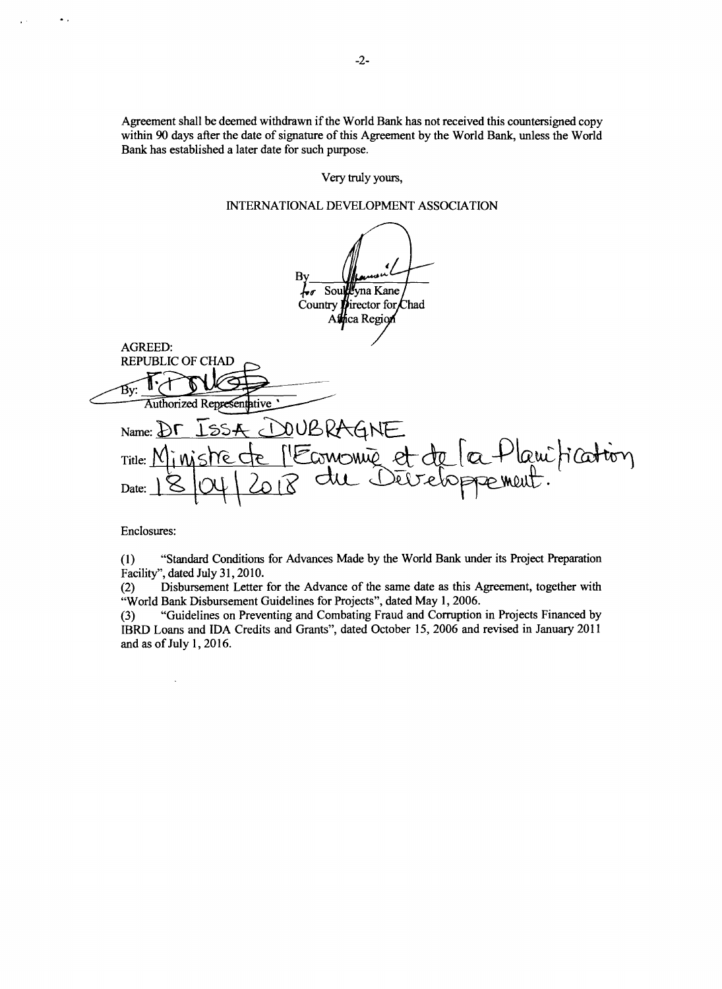Agreement shall be deemed withdrawn if the World Bank has not received this countersigned copy within 90 days after the date of signature of this Agreement by the World Bank, unless the World Bank has established a later date for such purpose.

Very truly yours.

## INTERNATIONAL DEVELOPMENT ASSOCIATION

<sup>I</sup>yna Kane Soul Country I irector for Chad ca Region **AGREED: REPUBLIC OF CHAD** Έv: Authorized Representative NUBRA Name:  $\overline{D}$ e + lami fication vonie et de la Title: Date:

Enclosures:

 $\ddot{\phantom{a}}$ 

 $\mathbf{r}$  .

 $(1)$ "Standard Conditions for Advances Made by the World Bank under its Project Preparation Facility", dated July 31, 2010.

Disbursement Letter for the Advance of the same date as this Agreement, together with  $(2)$ "World Bank Disbursement Guidelines for Projects", dated May 1, 2006.

"Guidelines on Preventing and Combating Fraud and Corruption in Projects Financed by  $(3)$ IBRD Loans and IDA Credits and Grants", dated October 15, 2006 and revised in January 2011 and as of July 1, 2016.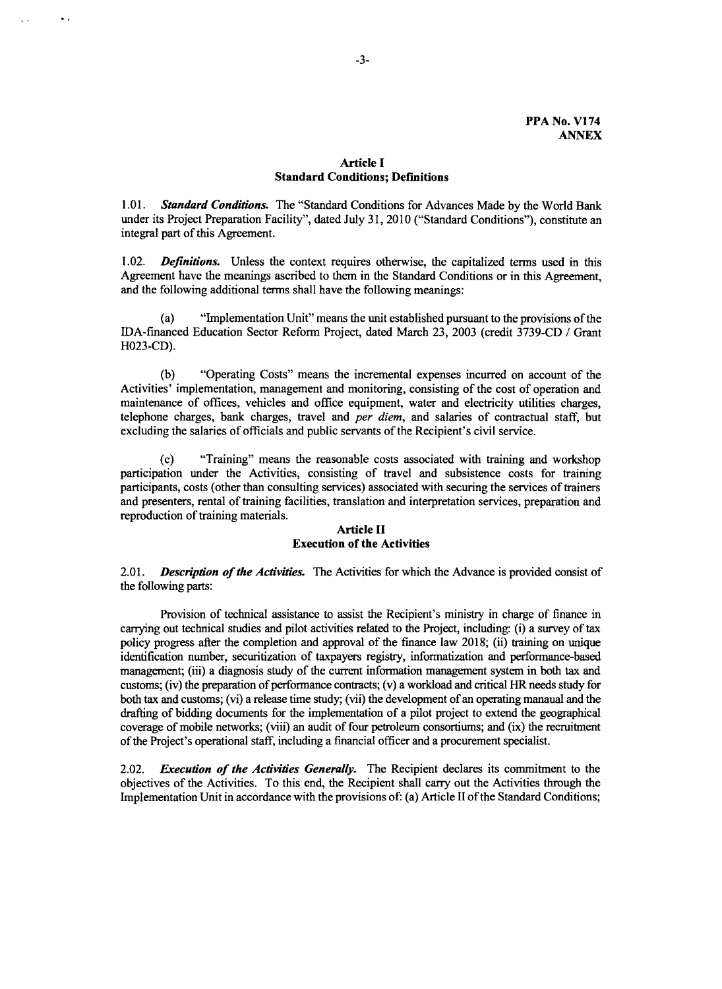## **Article I Standard Conditions; Definitions**

*1.01. Standard Conditions.* The "Standard Conditions for Advances Made **by** the World Bank under its Project Preparation Facility", dated July **31,** 2010 ("Standard Conditions"), constitute an integral part of this Agreement.

1.02. *Definidons.* Unless the context requires otherwise, the capitalized terms used in this Agreement have the meanings ascribed to them in the Standard Conditions or in this Agreement, and the following additional terms shall have the following meanings:

(a) "Implementation Unit" means the unit established pursuant to the provisions of the IDA-financed Education Sector Reform Project, dated March **23, 2003** (credit **3739-CD /** Grant **H023-CD).**

**(b)** "Operating Costs" means the incremental expenses incurred on account of the Activities' implementation, management and monitoring, consisting of the cost of operation and maintenance of offices, vehicles and office equipment, water and electricity utilities charges, telephone charges, bank charges, travel and *per diem,* and salaries of contractual staff, but excluding the salaries of officials and public servants of the Recipient's civil service.

(c) "Training" means the reasonable costs associated with training and workshop<br>participation under the Activities, consisting of travel and subsistence costs for training<br>participants, costs (other than consulting service and presenters, rental of training facilities, translation and interpretation services, preparation and reproduction of training materials.

## **Article II Execution of the Activities**

*2.01. Description of the Activities.* The Activities for which the Advance is provided consist of the following parts:

Provision of technical assistance to assist the Recipient's ministry in charge of finance in carrying out technical studies and pilot activities related to the Project, including: (i) a survey of tax policy progress after the completion and approval of the finance law **2018;** (ii) training on unique identification number, securitization of taxpayers registry, informatization and performance-based management; (iii) a diagnosis study of the current information management system in both tax and customs; (iv) the preparation of performance contracts; (v) a workload and critical HR needs study for both tax and customs; (vi) a release time study; (vii) the development of an operating manaual and the drafting of bidding documents for the implementation of a pilot project to extend the geographical coverage of mobile networks; (viii) an audit of four petroleum consortiums; and (ix) the recruitment of the Project's operational staff, including a financial officer and a procurement specialist.

*2.02. Execution of the Activities Generally.* The Recipient declares its commitment to the objectives of the Activities. To this end, the Recipient shall carry out the Activities through the Implementation Unit in accordance with the provisions of: (a) Article II of the Standard Conditions;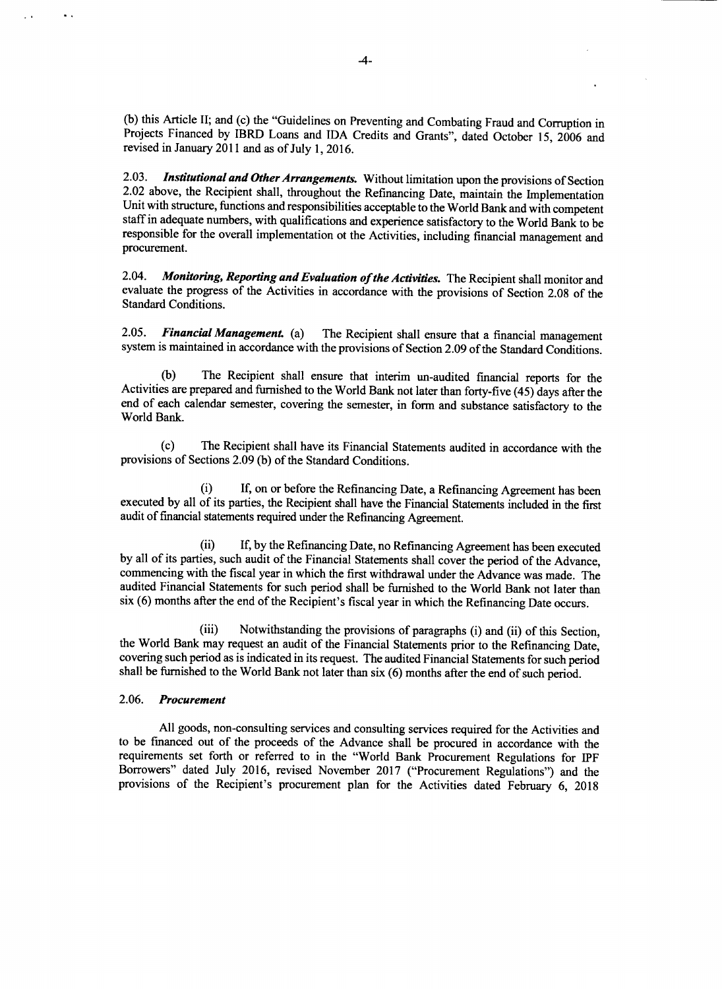(b) this Article II; and (c) the "Guidelines on Preventing and Combating Fraud and Corruption in Projects Financed by IBRD Loans and IDA Credits and Grants", dated October 15, 2006 and revised in January 2011 and as of Jul

2.03. **Institutional and Other Arrangements.** Without limitation upon the provisions of Section 2.02 above, the Recipient shall, throughout the Refinancing Date, maintain the Implementation Unit with structure, functions a procurement.

2.04. Monitoring, Reporting and Evaluation of the Activities. The Recipient shall monitor and evaluate the progress of the Activities in accordance with the provisions of Section 2.08 of the Standard Conditions.

*2.05. Financial Management (a)* The Recipient shall ensure that a financial management system is maintained in accordance with the provisions of Section **2.09** of the Standard Conditions.

(b) The Recipient shall ensure that interim un-audited financial reports for the Activities are prepared and furnished to the World Bank not later than forty-five (45) days after the end of each calendar semester, covering

(c) The Recipient shall have its Financial Statements audited in accordance with the provisions of Sections **2.09 (b)** of the Standard Conditions.

(i) **If,** on or before the Refinancing Date, a Refinancing Agreement has been executed **by** all of its parties, the Recipient shall have the Financial Statements included in the first audit of financial statements required under the Refinancing Agreement.

(ii) **If, by** the Refinancing Date, no Refinancing Agreement has been executed **by** all of its parties, such audit of the Financial Statements shall cover the period of the Advance, commencing with the fiscal year in which the first withdrawal under the Advance was made. The audited Financial Statements for such period shall be furnished to the World Bank not later than six **(6)** months after the end of the Recipient's fiscal year in which the Refinancing Date occurs.

(iii) Notwithstanding the provisions of paragraphs (i) and (ii) of this Section,<br>the World Bank may request an audit of the Financial Statements prior to the Refinancing Date,<br>covering such period as is indicated in its re

#### *2.06. Procurement*

 $\ddot{\phantom{a}}$ 

**All** goods, non-consulting services and consulting services required for the Activities and to be financed out of the proceeds of the Advance shall be procured in accordance with the requirements set forth or referred to in the "World Bank Procurement Regulations for IPF Borrowers" dated July **2016,** revised November **2017** ("Procurement Regulations") and the provisions of the Recipient's procurement plan for the Activities dated February **6, 2018**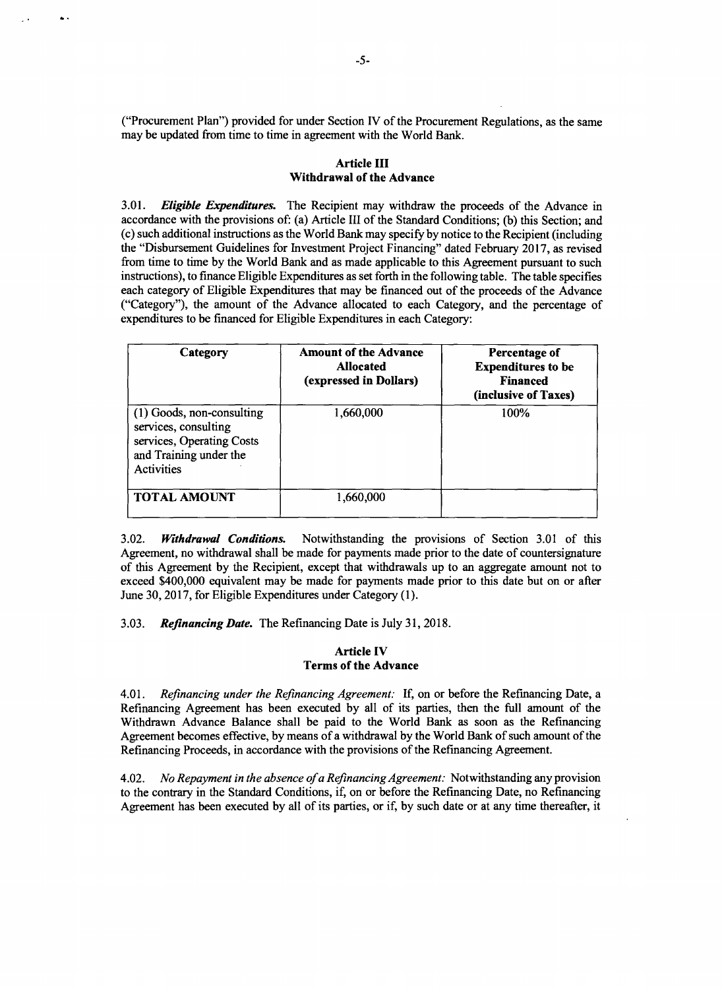("Procurement Plan") provided for under Section IV of the Procurement Regulations, as the same may be updated from time to time in agreement with the World Bank.

## Article **III Withdrawal of the Advance**

*3.01. Eligible Expenditures.* The Recipient may withdraw the proceeds of the Advance in accordance with the provisions of: (a) Article III of the Standard Conditions; **(b)** this Section; and the "Disbursement Guidelines for Investment Project Financing" dated February 2017, as revised from time to time **by** the World Bank and as made applicable to this Agreement pursuant to such instructions), to finance Eligible Expenditures as set forth in the following table. The table specifies each category of Eligible Expenditures that may be financed out of the proceeds of the Advance ("Category"), the amount of the Advance allocated to each Category, and the percentage of expenditures to be financed for Eligible Expenditures in each Category:

| Category                                                                                                                      | <b>Amount of the Advance</b><br><b>Allocated</b><br>(expressed in Dollars) | Percentage of<br><b>Expenditures to be</b><br><b>Financed</b><br>(inclusive of Taxes) |
|-------------------------------------------------------------------------------------------------------------------------------|----------------------------------------------------------------------------|---------------------------------------------------------------------------------------|
| (1) Goods, non-consulting<br>services, consulting<br>services, Operating Costs<br>and Training under the<br><b>Activities</b> | 1,660,000                                                                  | 100%                                                                                  |
| <b>TOTAL AMOUNT</b>                                                                                                           | 1,660,000                                                                  |                                                                                       |

**3.02.** *Withdrawal Conditions.* Notwithstanding the provisions of Section **3.01** of this Agreement, no withdrawal shall be made for payments made prior to the date of countersignature of this Agreement **by** the Recipient, except that withdrawals up to an aggregate amount not to exceed \$400,000 equivalent may be made for payments made prior to this date but on or after June **30, 2017,** for Eligible Expenditures under Category **(1).**

*3.03. Refinancing Date.* The Refinancing Date is July **31, 2018.**

#### **Article IV Terms of the Advance**

*4.01. Refinancing under the Refinancing Agreement:* **If, on or before the Refinancing Date, a** Refinancing Agreement has been executed **by** all of its parties, then the **full** amount of the Withdrawn Advance Balance shall be paid to the World Bank as soon as the Refinancing Agreement becomes effective, **by** means of a withdrawal **by** the World Bank of such amount of the Refinancing Proceeds, in accordance with the provisions of the Refinancing Agreement.

4.02. *No Repayment in the absence ofa Refinancing Agreement:* Notwithstanding any provision to the contrary in the Standard Conditions, if, on or before the Refinancing Date, no Refinancing Agreement has been executed **by** all of its parties, or if, **by** such date or at any time thereafter, it

 $\Delta$  .